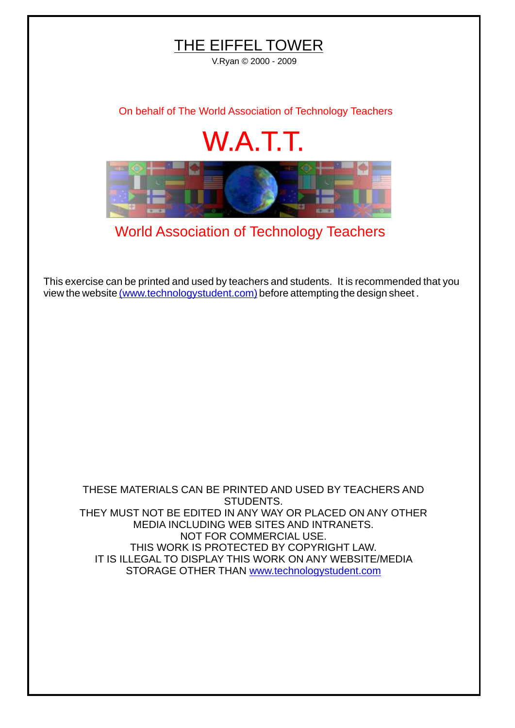